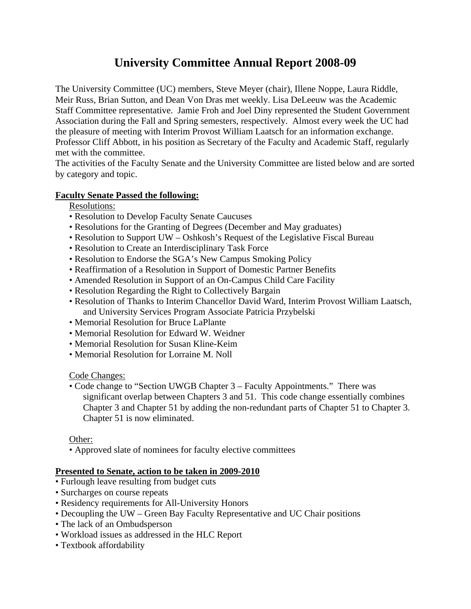# **University Committee Annual Report 2008-09**

The University Committee (UC) members, Steve Meyer (chair), Illene Noppe, Laura Riddle, Meir Russ, Brian Sutton, and Dean Von Dras met weekly. Lisa DeLeeuw was the Academic Staff Committee representative. Jamie Froh and Joel Diny represented the Student Government Association during the Fall and Spring semesters, respectively. Almost every week the UC had the pleasure of meeting with Interim Provost William Laatsch for an information exchange. Professor Cliff Abbott, in his position as Secretary of the Faculty and Academic Staff, regularly met with the committee.

The activities of the Faculty Senate and the University Committee are listed below and are sorted by category and topic.

## **Faculty Senate Passed the following:**

Resolutions:

- Resolution to Develop Faculty Senate Caucuses
- Resolutions for the Granting of Degrees (December and May graduates)
- Resolution to Support UW Oshkosh's Request of the Legislative Fiscal Bureau
- Resolution to Create an Interdisciplinary Task Force
- Resolution to Endorse the SGA's New Campus Smoking Policy
- Reaffirmation of a Resolution in Support of Domestic Partner Benefits
- Amended Resolution in Support of an On-Campus Child Care Facility
- Resolution Regarding the Right to Collectively Bargain
- Resolution of Thanks to Interim Chancellor David Ward, Interim Provost William Laatsch, and University Services Program Associate Patricia Przybelski
- Memorial Resolution for Bruce LaPlante
- Memorial Resolution for Edward W. Weidner
- Memorial Resolution for Susan Kline-Keim
- Memorial Resolution for Lorraine M. Noll

Code Changes:

• Code change to "Section UWGB Chapter 3 – Faculty Appointments." There was significant overlap between Chapters 3 and 51. This code change essentially combines Chapter 3 and Chapter 51 by adding the non-redundant parts of Chapter 51 to Chapter 3. Chapter 51 is now eliminated.

Other:

• Approved slate of nominees for faculty elective committees

## **Presented to Senate, action to be taken in 2009-2010**

- Furlough leave resulting from budget cuts
- Surcharges on course repeats
- Residency requirements for All-University Honors
- Decoupling the UW Green Bay Faculty Representative and UC Chair positions
- The lack of an Ombudsperson
- Workload issues as addressed in the HLC Report
- Textbook affordability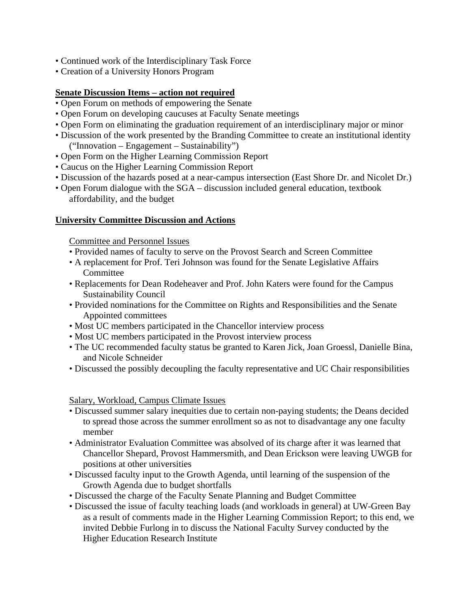- Continued work of the Interdisciplinary Task Force
- Creation of a University Honors Program

### **Senate Discussion Items – action not required**

- Open Forum on methods of empowering the Senate
- Open Forum on developing caucuses at Faculty Senate meetings
- Open Form on eliminating the graduation requirement of an interdisciplinary major or minor
- Discussion of the work presented by the Branding Committee to create an institutional identity ("Innovation – Engagement – Sustainability")
- Open Form on the Higher Learning Commission Report
- Caucus on the Higher Learning Commission Report
- Discussion of the hazards posed at a near-campus intersection (East Shore Dr. and Nicolet Dr.)
- Open Forum dialogue with the SGA discussion included general education, textbook affordability, and the budget

### **University Committee Discussion and Actions**

Committee and Personnel Issues

- Provided names of faculty to serve on the Provost Search and Screen Committee
- A replacement for Prof. Teri Johnson was found for the Senate Legislative Affairs Committee
- Replacements for Dean Rodeheaver and Prof. John Katers were found for the Campus Sustainability Council
- Provided nominations for the Committee on Rights and Responsibilities and the Senate Appointed committees
- Most UC members participated in the Chancellor interview process
- Most UC members participated in the Provost interview process
- The UC recommended faculty status be granted to Karen Jick, Joan Groessl, Danielle Bina, and Nicole Schneider
- Discussed the possibly decoupling the faculty representative and UC Chair responsibilities

Salary, Workload, Campus Climate Issues

- Discussed summer salary inequities due to certain non-paying students; the Deans decided to spread those across the summer enrollment so as not to disadvantage any one faculty member
- Administrator Evaluation Committee was absolved of its charge after it was learned that Chancellor Shepard, Provost Hammersmith, and Dean Erickson were leaving UWGB for positions at other universities
- Discussed faculty input to the Growth Agenda, until learning of the suspension of the Growth Agenda due to budget shortfalls
- Discussed the charge of the Faculty Senate Planning and Budget Committee
- Discussed the issue of faculty teaching loads (and workloads in general) at UW-Green Bay as a result of comments made in the Higher Learning Commission Report; to this end, we invited Debbie Furlong in to discuss the National Faculty Survey conducted by the Higher Education Research Institute